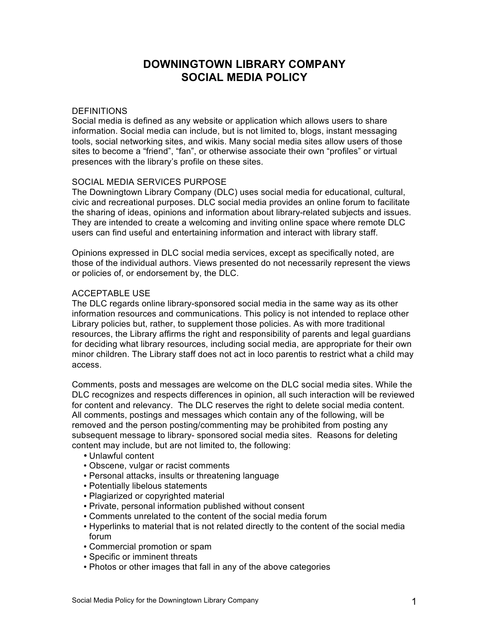# **DOWNINGTOWN LIBRARY COMPANY SOCIAL MEDIA POLICY**

#### **DEFINITIONS**

Social media is defined as any website or application which allows users to share information. Social media can include, but is not limited to, blogs, instant messaging tools, social networking sites, and wikis. Many social media sites allow users of those sites to become a "friend", "fan", or otherwise associate their own "profiles" or virtual presences with the library's profile on these sites.

### SOCIAL MEDIA SERVICES PURPOSE

The Downingtown Library Company (DLC) uses social media for educational, cultural, civic and recreational purposes. DLC social media provides an online forum to facilitate the sharing of ideas, opinions and information about library-related subjects and issues. They are intended to create a welcoming and inviting online space where remote DLC users can find useful and entertaining information and interact with library staff.

Opinions expressed in DLC social media services, except as specifically noted, are those of the individual authors. Views presented do not necessarily represent the views or policies of, or endorsement by, the DLC.

#### ACCEPTABLE USE

The DLC regards online library-sponsored social media in the same way as its other information resources and communications. This policy is not intended to replace other Library policies but, rather, to supplement those policies. As with more traditional resources, the Library affirms the right and responsibility of parents and legal guardians for deciding what library resources, including social media, are appropriate for their own minor children. The Library staff does not act in loco parentis to restrict what a child may access.

Comments, posts and messages are welcome on the DLC social media sites. While the DLC recognizes and respects differences in opinion, all such interaction will be reviewed for content and relevancy. The DLC reserves the right to delete social media content. All comments, postings and messages which contain any of the following, will be removed and the person posting/commenting may be prohibited from posting any subsequent message to library- sponsored social media sites. Reasons for deleting content may include, but are not limited to, the following:

- Unlawful content
- Obscene, vulgar or racist comments
- Personal attacks, insults or threatening language
- Potentially libelous statements
- Plagiarized or copyrighted material
- Private, personal information published without consent
- Comments unrelated to the content of the social media forum
- Hyperlinks to material that is not related directly to the content of the social media forum
- Commercial promotion or spam
- Specific or imminent threats
- Photos or other images that fall in any of the above categories